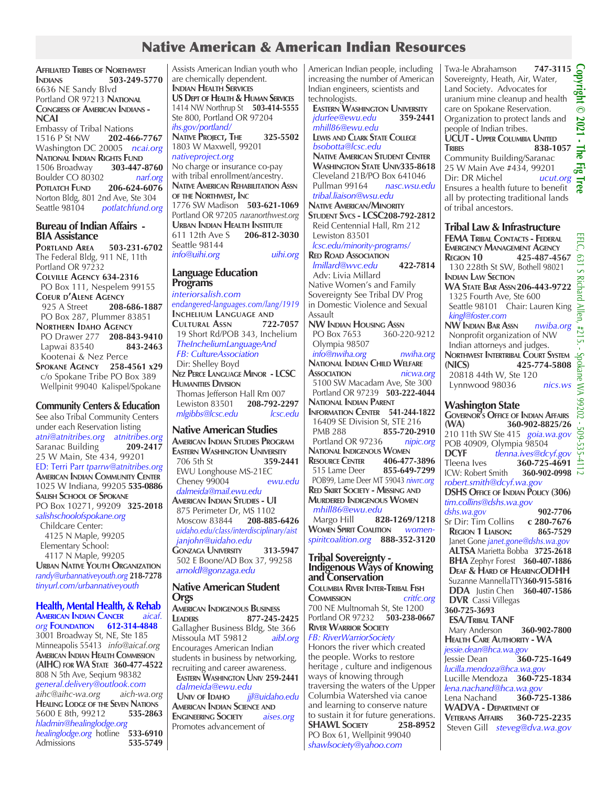# Native American & American Indian Resources

**Affiliated Tribes of Northwest Indians 503-249-5770** 6636 NE Sandy Blvd Portland OR 97213 **National Congress of American Indians - NCAI** Embassy of Tribal Nations 1516 P St NW **202-466-7767** Washington DC 20005 *ncai.org* **National Indian Rights Fund**<br>1506 Broadway **303-447-8760** 1506 Broadway Boulder CO 80302 *narf.org* **POTLATCH FUND 206-624-6076** Norton Bldg, 801 2nd Ave, Ste 304<br>Seattle 98104 potlatchfund.org  $potlatchfund.org$ 

### **Bureau of Indian Affairs - BIA Assistance**

**Portland Area 503-231-6702** The Federal Bldg, 911 NE, 11th Portland OR 97232 **Colville Agency 634-2316** PO Box 111, Nespelem 99155 **COEUR D'ALENE AGENCY**<br>925 A Street 208-925 A Street **208-686-1887** PO Box 287, Plummer 83851 **Northern Idaho Agency** PO Drawer 277 **208-843-9410** Lapwai 83540 Kootenai & Nez Perce **Spokane Agency 258-4561 x29** c/o Spokane Tribe PO Box 389

### **Community Centers & Education**

Wellpinit 99040 Kalispel/Spokane

See also Tribal Community Centers under each Reservation listing *atni@atnitribes.org atnitribes.org* **Saranac Building** 25 W Main, Ste 434, 99201 ED: Terri Parr *tparrw@atnitribes.org* **American Indian Community Center** 1025 W Indiana, 99205 **535-0886 Salish School of Spokane** PO Box 10271, 99209 **325-2018** *salishschoolofspokane.org* Childcare Center: 4125 N Maple, 99205 Elementary School: 4117 N Maple, 99205 **Urban Native Youth Organization** *randy@urbannativeyouth.org* **218-7278** *tinyurl.com/urbannativeyouth*

**Health, Mental Health, & Rehab American Indian Cancer** *aicaf. org* **Foundation 612-314-4848** 3001 Broadway St, NE, Ste 185 Minneapolis 55413 *info@aicaf.org* **American Indian Health Commission (AIHC) for WA State 360-477-4522** 808 N 5th Ave, Seqium 98382 *general.delivery@outlook.com aihc@aihc-wa.org aich-wa.org* **HEALING LODGE OF THE SEVEN NATIONS**<br>5600 F 8th, 99212 535-2863 5600 E 8th, 99212 *hladmin@healinglodge.org healinglodge.org* hotline **533-6910** Admissions **535-5749** are chemically dependent. **Indian Health Services US Dept of Health & Human Services** 1414 NW Northrup St **503-414-5555** Ste 800, Portland OR 97204 *ihs.gov/portland/* **Native Project, The 325-5502** 1803 W Maxwell, 99201 *nativeproject.org* No charge or insurance co-pay with tribal enrollment/ancestry. **Native American Rehabilitation Assn of the Northwest, Inc** 1776 SW Madison **503-621-1069** Portland OR 97205 *naranorthwest.org* **URBAN <b>I**NDIAN **HEALTH INSTITUTE**<br>611 12th Ave S **206-812-3030** 611 12th Ave S **206-812-3030** Seattle 98144 *info@uihi.org uihi.org*

Assists American Indian youth who

#### **Language Education Programs**

*interiorsalish.com endangered-languages.com/lang/1919* **Inchelium Language and Cultural Assn 722-7057** 19 Short Rd/POB 343, Inchelium  *TheIncheliumLanguageAnd FB: CultureAssociation* Dir: Shelley Boyd **Nez Perce Language Minor - LCSC Humanities Division** Thomas Jefferson Hall Rm 007<br>Lewiston 83501 208-792-2297 Lewiston 83501 **208-792-2297**  $m$ *lgibbs@lcsc.edu* 

### **Native American Studies**

**American Indian Studies Program EASTERN WASHINGTON UNIVERSITY**<br>706 5th St **359-2441**  706 5th St **359-2441**  EWU Longhouse MS-21EC Cheney 99004 *ewu.edu dalmeida@mail.ewu.edu* **American Indian Studies - UI** 875 Perimeter Dr, MS 1102 Moscow 83844 **208-885-6426**   *uidaho.edu/class/interdisciplinary/aist janjohn@uidaho.edu* **Gonzaga University 313-5947** 502 E Boone/AD Box 37, 99258  *arnoldl@gonzaga.edu*

#### **Native American Student Orgs**

**American Indigenous Business Leaders 877-245-2425** Gallagher Business Bldg, Ste 366 Missoula MT 59812 *aibl.org* Encourages American Indian students in business by networking, recruiting and career awareness.  **Eastern Washington Univ 259-2441** *dalmeida@ewu.edu*  **Univ of Idaho** *jjl@uidaho.edu* **American Indian Science and Engineering Society** *aises.org* Promotes advancement of

American Indian people, including increasing the number of American Indian engineers, scientists and technologists.

**EASTERN WASHINGTON UNIVERSITY**<br> *idurfee@ewu edu*<br>
359-2441  *jdurfee@ewu.edu* **359-2441**  *mhill86@ewu.edu*  **Lewis and Clark State College**  *bsobotta@lcsc.edu*  **Native American Student Center Washington State Univ335-8618** Cleveland 21B/PO Box 641046 **Pullman 99164**  *tribal.liaison@wsu.edu* **Native American/Minority Student Svcs - LCSC208-792-2812**

 Reid Centennial Hall, Rm 212 Lewiston 83501  *lcsc.edu/minority-programs/* **Red Road Association**  *lmillard@wvc.edu* **422-7814** Adv: Livia Millard

Native Women's and Family Sovereignty See Tribal DV Prog in Domestic Violence and Sexual Assault **NW INDIAN HOUSING ASSN**<br>PO Box 7653 360-220-9212 PO Box 7653 Olympia 98507

 *info@nwiha.org nwiha.org* **National Indian Child Welfare Association** *nicwa.org* 5100 SW Macadam Ave, Ste 300 Portland OR 97239 **503-222-4044 National Indian Parent Information Center 541-244-1822** 16409 SE Division St, STE 216 PMB 288 **855-720-2910** Portland OR 97236 *nipic.org* **National Indigenous Women RESOURCE CENTER** 406-477-3896<br>515 Lame Deer 855-649-7299 515 Lame Deer POB99, Lame Deer MT 59043 *niwrc.org* **Red Skirt Society - Missing and Murdered Indigenous Women**  *mhill86@ewu.edu* Margo Hill **828-1269/1218 Women Spirit Coalition** *womenspiritcoalition.org* **888-352-3120**

#### **Tribal Sovereignty - Indigenous Ways of Knowing and Conservation**

**Columbia River Inter-Tribal Fish**  $COMMISION$ 700 NE Multnomah St, Ste 1200 Portland OR 97232 **503-238-0667 River Warrior Society**

## *FB: RiverWarriorSociety*

Honors the river which created the people. Works to restore heritage , culture and indigenous ways of knowing through traversing the waters of the Upper Columbia Watershed via canoe and learning to conserve nature to sustain it for future generations.<br>**SHAWL SOCIETY** 258-8952 **SHAWL SOCIETY** PO Box 61, Wellpinit 99040 *shawlsociety@yahoo.com*

Twa-le Abrahamson **747-3115**<br>Sovereignty, Heath, Air, Water,<br>Land Society. Advocates for<br>uranium mine cleanup and health<br>care on Spokane Reservation. **Copyright © 2021 - The Fig Tree**  Sovereignty, Heath, Air, Water, Land Society. Advocates for uranium mine cleanup and health care on Spokane Reservation. Organization to protect lands and people of Indian tribes. **UCUT - Upper Columbia United Tribes 838-1057** Community Building/Saranac 25 W Main Ave #434, 99201<br>Dir: DR Michel *ucut.org* ൹ Dir: DR Michel Ensures a health future to benefit all by protecting traditional lands of tribal ancestors.

### **Tribal Law & Infrastructure**

**FEMA Tribal Contacts - Federal Emergency Management Agency Region 10 425-487-4567** 130 228th St SW, Bothell 98021 **Indian Law Section WA State Bar Assn206-443-9722** 1325 Fourth Ave, Ste 600 Seattle 98101 Chair: Lauren King *kingl@foster.com* **NW Indian Bar Assn** *nwiba.org* Nonprofit organization of NW Indian attorneys and judges. **NORTHWEST INTERTRIBAL COURT SYSTEM**<br> **A25-774-5808 (NICS) 425-774-5808** 20818 44th W, Ste 120 **NORTHWEST INTERTRIBAL COURT SYSTEM SOLUTION**<br>
20818 44th W, Ste 120<br>
Lynnwood 98036 *nics.ws* **Washington State Governor's Office of Indian Affairs (WA) 360-902-8825/26**

210 11th SW Ste 415 *goia.wa.gov* POB 40909, Olympia 98504<br>DCYF tlenna.ives@dc پم<br>ب **DCYF** *tlenna.ives@dcyf.gov*  $\overrightarrow{+}$  $360-725-4691 \frac{4}{10}$ <br>360-902-0998 **ICW: Robert Smith** *robert.smith@dcyf.wa.gov* **DSHS Office of Indian Policy (306)** *tim.collins@dshs.wa.gov dshs.wa.gov* **902-7706 Sr Dir: Tim Collins Region 1 Liaison: 865-7529** Janet Gone *janet.gone@dshs.wa.gov*  **ALTSA** Marietta Bobba **3725-2618 BHA** Zephyr Forest **360-407-1886 Deaf & Hard of HearingODHH** Suzanne MannellaTTY**360-915-5816 DDA** Justin Chen **360-407-1586 DVR** Cassi Villegas **360-725-3693 ESA/Tribal TANF** Mary Anderson **360-902-7800 Health Care Authority - WA** *jessie.dean@hca.wa.gov* Jessie Dean **360-725-1649** *lucilla.mendoza@hca.wa.gov* Lucille Mendoza **360-725-1834** *lena.nachand@hca.wa.gov* Lena Nachand **360-725-1386 WADVA - Department of Veterans Affairs 360-725-2235** Steven Gill *steveg@dva.wa.gov*

 $0.2021 -$ 

 $\frac{1}{2}$ Ē.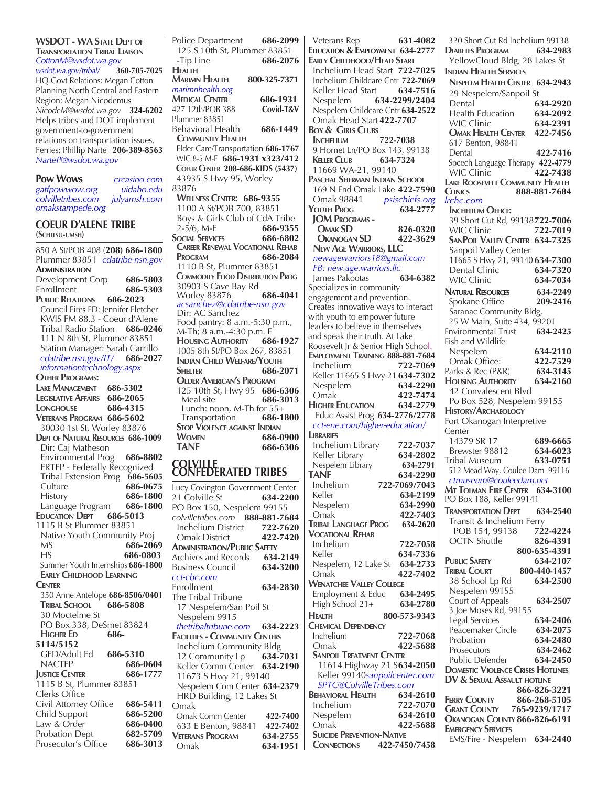| <b>WSDOT - WA STATE DEPT OF</b>           |                      | Police Dep                      |
|-------------------------------------------|----------------------|---------------------------------|
| <b>TRANSPORTATION TRIBAL LIAISON</b>      |                      | 125 S 10tl                      |
| CottonM@wsdot.wa.gov                      |                      | -Tip Line                       |
| wsdot.wa.gov/tribal/                      | 360-705-7025         | <b>HEALTH</b>                   |
| HQ Govt Relations: Megan Cotton           |                      | Marimn He                       |
| Planning North Central and Eastern        |                      | marimnhealt                     |
| Region: Megan Nicodemus                   |                      | <b>MEDICAL CEI</b>              |
| NicodeM@wsdot.wa.gov 324-6202             |                      | 427 12th/PC                     |
| Helps tribes and DOT implement            |                      | Plummer 838                     |
| government-to-government                  |                      | Behavioral                      |
| relations on transportation issues.       |                      | <b>COMMUNIT</b>                 |
| Ferries: Phillip Narte 206-389-8563       |                      | Elder Care/                     |
| NarteP@wsdot.wa.gov                       |                      | WIC 8-5 M-                      |
|                                           |                      | <b>COEUR CENT</b>               |
| <b>Pow Wows</b>                           | crcasino.com         | 43935 S H                       |
| gatfpowwow.org                            | uidaho.edu           | 83876                           |
| colvilletribes.com                        | julyamsh.com         | <b>WELLNESS</b>                 |
| omakstampede.org                          |                      | 1100 A St                       |
|                                           |                      | Boys & Gi                       |
| <b>COEUR D'ALENE TRIBE</b>                |                      | $2-5/6$ , M-I                   |
| (SCHITSU-UMSH)                            |                      | <b>SOCIAL SERVI</b>             |
| 850 A St/POB 408 (208) 686-1800           |                      | <b>CAREER REN</b>               |
| Plummer 83851 cdatribe-nsn.gov            |                      | Program                         |
| ADMINISTRATION                            |                      | 1110 B St                       |
| Development Corp                          | 686-5803             | COMMODITY                       |
| Enrollment                                | 686-5303             | 30903 S C                       |
| PUBLIC RELATIONS 686-2023                 |                      | Worley 83                       |
| Council Fires ED: Jennifer Fletcher       |                      | acsanchez<br>Dir: AC Sa         |
| KWIS FM 88.3 - Coeur d'Alene              |                      | Food pant                       |
| Tribal Radio Station 686-0246             |                      | M-Th; 8 a                       |
| 111 N 8th St, Plummer 83851               |                      | HOUSING A                       |
| Station Manager: Sarah Carrillo           |                      | 1005 8th S                      |
| cdatribe.nsn.gov/IT/ 686-2027             |                      | INDIAN CHI                      |
| informationtechnology.aspx                |                      | Shelter                         |
| <b>OTHER PROGRAMS:</b>                    |                      | <b>OLDER AMI</b>                |
| LAKE MANAGEMENT 686-5302                  |                      | 125 10th                        |
| <b>LEGISLATIVE AFFAIRS 686-2065</b>       |                      | Meal site                       |
| LONGHOUSE                                 | 686-4315             | Lunch: n                        |
| VETERANS PROGRAM 686-5602                 |                      | Transpor                        |
| 30030 1st St, Worley 83876                |                      | <b>STOP VIOLE</b>               |
| <b>DEPT OF NATURAL RESOURCES 686-1009</b> |                      | WOMEN                           |
| Dir: Caj Matheson                         |                      |                                 |
|                                           |                      | TANF                            |
| Environmental Prog 686-8802               |                      |                                 |
| FRTEP - Federally Recognized              |                      |                                 |
| Tribal Extension Prog 686-5605            |                      | <b>COLVILLI</b><br>CONFED       |
| Culture                                   | 686-0675             | Lucy Coving                     |
| History                                   | 686-1800             | 21 Colville                     |
| Language Program                          | 686-1800             | PO Box 15                       |
| <b>EDUCATION DEPT</b>                     | 686-5013             | colvilletribe.                  |
| 1115 B St Plummer 83851                   |                      | Inchelium                       |
| Native Youth Community Proj               |                      | Omak Dis                        |
| МS                                        | 686-2069             | ADMINISTRAT                     |
| НS                                        | 686-0803             | Archives an                     |
| Summer Youth Internships 686-1800         |                      | <b>Business Co</b>              |
| <b>EARLY CHILDHOOD LEARNING</b>           |                      | cct-cbc.con                     |
| <b>CENTER</b>                             |                      | Enrollment                      |
| 350 Anne Antelope 686-8506/0401           |                      | The Tribal                      |
| <b>TRIBAL SCHOOL</b><br>686-5808          |                      | 17 Nespel                       |
| 30 Moctelme St                            |                      | Nespelem                        |
| PO Box 338, DeSmet 83824                  |                      | thetribaltri                    |
| <b>HIGHER ED</b><br>686-                  |                      | <b>FACILITIES - C</b>           |
| 5114/5152                                 |                      | Inchelium                       |
| GED/Adult Ed                              | 686-5310             | 12 Comm                         |
| NACTEP                                    | 686-0604             | Keller Cor                      |
| <b>JUSTICE CENTER</b>                     | 686-1777             | 11673 S H                       |
| 1115 B St, Plummer 83851                  |                      | Nespelem                        |
| Clerks Office                             |                      | <b>HRD Buil</b>                 |
| Civil Attorney Office                     | 686-5411             | Omak                            |
| Child Support                             | 686-5200             | Omak Com                        |
| Law & Order<br><b>Probation Dept</b>      | 686-0400<br>682-5709 | 633 E Ben<br><b>VETERANS PR</b> |

Prosecutor's Office **686-3013** 

artment **686-2099** h St, Plummer 83851 -Tip Line **686-2076 Marimn Health 800-325-7371** *marimnhealth.org*  **Medical Center 686-1931** Covid-T&V 851<br>Health Behavioral Health **686-1449 Community Health** Elder Care/Transportation **686-1767**  WIC 8-5 M-F **686-1931 x323/412 Coeur Center 208-686-KIDS (5437) <sup>Hwy 95, Worley**</sup>  **Wellness Center: 686-9355** 1100 A St/POB 700, 83851  $B = \begin{bmatrix} 686.9355 \end{bmatrix}$  2-5/6, M-F **686-9355 Social Services 686-6802 Career Renewal Vocational Rehab Program 686-2084** Plummer 83851 **FOOD DISTRIBUTION PROG**  30903 S Cave Bay Rd Worley 83876 **686-4041** *acsanchez@cdatribe-nsn.gov* anchez try: 8 a.m.-5:30 p.m.,  $\ldots$ m.-4:30 p.m. F $\overline{ }$  **Housing Authority 686-1927** 5t/PO Box 267, 83851 **ILD WELFARE/YOUTH Shelter 686-2071 ERICAN'S PROGRAM** St, Hwy 95 **686-6306**  Meal site **686-3013** Lunch: noon, M-Th for 55+ Transportation **686-1800 Stop Violence against Indian Women 686-0900 TANF 686-6306 ERATED TRIBES** 

| Lucy Covington Government Center      |          |  |
|---------------------------------------|----------|--|
| 21 Colville St                        | 634-2200 |  |
| PO Box 150, Nespelem 99155            |          |  |
| colvilletribes.com 888-881-7684       |          |  |
| Inchelium District 722-7620           |          |  |
| <b>Omak District</b>                  | 422-7420 |  |
| <b>ADMINISTRATION/PUBLIC SAFETY</b>   |          |  |
| Archives and Records 634-2149         |          |  |
| <b>Business Council</b>               | 634-3200 |  |
| cct-cbc.com                           |          |  |
| Enrollment                            | 634-2830 |  |
| The Tribal Tribune                    |          |  |
| 17 Nespelem/San Poil St               |          |  |
| Nespelem 9915                         |          |  |
| thetribaltribune.com 634-2223         |          |  |
| <b>FACILITIES - COMMUNITY CENTERS</b> |          |  |
| <b>Inchelium Community Bldg</b>       |          |  |
| 12 Community Lp 634-7031              |          |  |
| Keller Comm Center 634-2190           |          |  |
| 11673 S Hwy 21, 99140                 |          |  |
| Nespelem Com Center 634-2379          |          |  |
| HRD Building, 12 Lakes St             |          |  |
| Omak                                  |          |  |
| <b>Omak Comm Center</b>               | 422-7400 |  |
| 633 E Benton, 98841                   | 422-7402 |  |
| <b>VETERANS PROGRAM</b>               | 634-2755 |  |
| Omak                                  | 634-1951 |  |

| Veterans Rep<br>631-4082                                         |        |
|------------------------------------------------------------------|--------|
| EDUCATION & EMPLOYMENT 634-2777                                  | Ľ      |
| <b>EARLY CHILDHOOD/HEAD START</b>                                |        |
| Inchelium Head Start 722-7025                                    | ŀ      |
| Inchelium Childcare Cntr 722-7069<br>Keller Head Start 634-7516  |        |
| 634-2299/2404<br>Nespelem                                        |        |
| Nespelem Childcare Cntr 634-2522                                 |        |
| Omak Head Start 422-7707                                         |        |
| <b>BOY &amp; GIRLS CLUBS</b>                                     |        |
| 722-7038<br><b>INCHELIUM</b>                                     |        |
| 9 Hornet Ln/PO Box 143, 99138                                    |        |
| <b>KELLER CLUB</b><br>634-7324                                   |        |
| 11669 WA-21, 99140<br>PASCHAL SHERMAN INDIAN SCHOOL              |        |
| 169 N End Omak Lake 422-7590                                     | L<br>C |
| psischiefs.org<br>Omak 98841                                     | Iı     |
| 634-2777<br>Youth Prog                                           |        |
| <b>JOM PROGRAMS -</b>                                            |        |
| <b>OMAK SD</b><br>826-0320                                       |        |
| <b>OKANOGAN SD</b><br>422-3629                                   |        |
| <b>NEW AGE WARRIORS, LLC</b><br>newagewarriors18@gmail.com       |        |
| FB: new.age.warriors.llc                                         |        |
| James Pakootas<br>634-6382                                       |        |
| Specializes in community                                         | N      |
| engagement and prevention.                                       |        |
| Creates innovative ways to interact                              |        |
| with youth to empower future<br>leaders to believe in themselves |        |
| and speak their truth. At Lake                                   | E      |
| Roosevelt Jr & Senior High School.                               | F      |
| EMPLOYMENT TRAINING 888-881-7684                                 |        |
| 722-7069<br>Inchelium                                            | P      |
| Keller 11665 S Hwy 21 634-7302                                   | ŀ      |
| Nespelem<br>634-2290                                             |        |
| 422-7474<br>Omak<br><b>HIGHER EDUCATION</b><br>634-2779          |        |
| Educ Assist Prog 634-2776/2778                                   | ŀ      |
| cct-ene.com/higher-education/                                    | F      |
| <b>LIBRARIES</b>                                                 | Ć      |
| Inchelium Library<br>722-7037                                    |        |
| Keller Library<br>634-2802                                       | Τ      |
| 634-2791<br>Nespelem Library<br>TANF<br>634-2290                 |        |
| Inchelium<br>722-7069/7043                                       |        |
| Keller<br>634-2199                                               | ۸      |
| 634-2990<br>Nespelem                                             | Ρ      |
| Omak<br>422-7403                                                 | T      |
| <b>TRIBAL LANGUAGE PROG</b><br>634-2620                          |        |
| <b>VOCATIONAL REHAB</b>                                          |        |
| Inchelium<br>722-7058<br>Keller<br>634-7336                      |        |
| Nespelem, 12 Lake St<br>634-2733                                 | P      |
| 422-7402<br>Omak                                                 | T      |
| <b>WENATCHEE VALLEY COLLEGE</b>                                  |        |
| Employment & Educ<br>634-2495                                    |        |
| High School 21+<br>634-2780                                      |        |
| 800-573-9343<br>Health                                           |        |
| <b>CHEMICAL DEPENDENCY</b>                                       |        |
| Inchelium<br>722-7068<br>422-5688<br>Omak                        |        |
| <b>SANPOIL TREATMENT CENTER</b>                                  |        |
| 11614 Highway 21 S634-2050                                       |        |
| Keller 99140sanpoilcenter.com                                    | D      |
| SPTC@ColvilleTribes.com                                          | E      |
| <b>BEHAVIORAL HEALTH</b><br>634-2610                             | F      |
| Inchelium<br>722-7070                                            | C      |
| Nespelem<br>634-2610<br>422-5688<br>Omak                         | C      |
| <b>SUICIDE PREVENTION-NATIVE</b>                                 | E      |
| CONNECTIONS 422-7450/7458                                        |        |

| 320 Short Cut Rd Inchelium 99138                                        |                          |
|-------------------------------------------------------------------------|--------------------------|
| <b>DIABETES PROGRAM</b> 634-2983<br>YellowCloud Bldg, 28 Lakes St       |                          |
| <b>INDIAN HEALTH SERVICES</b>                                           |                          |
| NESPELEM HEALTH CENTER 634-2943                                         |                          |
| 29 Nespelem/Sanpoil St                                                  |                          |
| Dental                                                                  | 634-2920                 |
| <b>Health Education</b><br><b>WIC Clinic</b>                            | 634-2092<br>634-2391     |
| <b>OMAK HEALTH CENTER</b>                                               | 422-7456                 |
| 617 Benton, 98841                                                       |                          |
| Dental                                                                  | 422-7416                 |
| Speech Language Therapy 422-4779<br>WIC Clinic                          | 422-7438                 |
| LAKE ROOSEVELT COMMUNITY HEALTH                                         |                          |
| <b>CLINICS</b>                                                          | 888-881-7684             |
| lrchc.com<br><b>INCHELIUM OFFICE:</b>                                   |                          |
| 39 Short Cut Rd, 99138722-7006                                          |                          |
| <b>WIC Clinic</b>                                                       | 722-7019                 |
| SANPOIL VALLEY CENTER 634-7325                                          |                          |
| Sanpoil Valley Center                                                   |                          |
| 11665 S Hwy 21, 99140 634-7300<br>Dental Clinic                         | 634-7320                 |
| <b>WIC Clinic</b>                                                       | 634-7034                 |
| <b>NATURAL RESOURCES</b>                                                | 634-2249                 |
| Spokane Office                                                          | 209-2416                 |
| Saranac Community Bldg,                                                 |                          |
| 25 W Main, Suite 434, 99201                                             |                          |
| <b>Environmental Trust</b><br>Fish and Wildlife                         | 634-2425                 |
| Nespelem                                                                | 634-2110                 |
| Omak Office:                                                            | 422-7529                 |
| Parks & Rec (P&R)                                                       | 634-3145                 |
| <b>HOUSING AUTHORITY</b><br>42 Convalescent Blvd                        | 634-2160                 |
|                                                                         |                          |
|                                                                         |                          |
| Po Box 528, Nespelem 99155<br><b>HISTORY/ARCHAEOLOGY</b>                |                          |
| Fort Okanogan Interpretive                                              |                          |
| Center                                                                  |                          |
| 14379 SR 17                                                             | 689-6665                 |
| Brewster 98812<br><b>Tribal Museum</b>                                  | 634-6023<br>633-0751     |
| 512 Mead Way, Coulee Dam 99116                                          |                          |
| ctmuseum@couleedam.net                                                  |                          |
| MT TOLMAN FIRE CENTER 634-3100                                          |                          |
| PO Box 188, Keller 99141                                                | 634-2540                 |
| <b>TRANSPORTATION DEPT</b><br>Transit & Inchelium Ferry                 |                          |
| POB 154, 99138                                                          | 722-4224                 |
| <b>OCTN Shuttle</b>                                                     | 826-4391                 |
|                                                                         | 800-635-4391             |
| <b>PUBLIC SAFETY</b><br><b>TRIBAL COURT</b>                             | 634-2107<br>800-440-1457 |
| 38 School Lp Rd                                                         | 634-2500                 |
| Nespelem 99155                                                          |                          |
| Court of Appeals                                                        | 634-2507                 |
| 3 Joe Moses Rd, 99155                                                   | 634-2406                 |
| Legal Services<br>Peacemaker Circle                                     | 634-2075                 |
| Probation                                                               | 634-2480                 |
| Prosecutors                                                             | 634-2462                 |
| Public Defender                                                         | 634-2450                 |
| <b>DOMESTIC VIOLENCE CRISES HOTLINES</b><br>DV & SEXUAL ASSAULT HOTLINE |                          |
|                                                                         | 866-826-3221             |
| <b>FERRY COUNTY</b>                                                     | 866-268-5105             |
| <b>GRANT COUNTY</b>                                                     | 765-9239/1717            |
| OKANOGAN COUNTY 866-826-6191<br><b>EMERGENCY SERVICES</b>               |                          |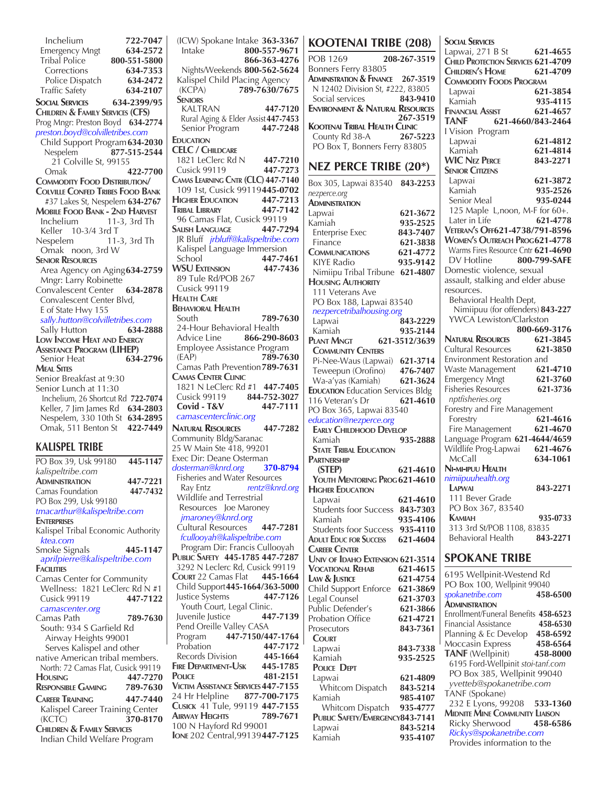**Inchelium 722-7047**<br> **122-7047**<br> **122-722 Emergency Mngt**<br>Tribal Police Tribal Police **800-551-5800** Corrections **634-7353**  Police Dispatch **634-2472**  Traffic Safety **634-2107 Social Services 634-2399/95 Children & Family Services (CFS)** Prog Mngr: Preston Boyd **634-2774** *preston.boyd@colvilletribes.com* Child Support Program**634-2030** Nespelem **877-515-2544** 21 Colville St, 99155 Omak **422-7700 Commodity Food Distribution/ Colville Confed Tribes Food Bank** #37 Lakes St, Nespelem **634-2767 Mobile Food Bank - 2nd Harvest**  $11-3$ , 3rd Th Keller 10-3/4 3rd T Nespelem 11-3, 3rd Th Omak noon, 3rd W  **Senior Resources** Area Agency on Aging**634-2759** Mngr: Larry Robinette Convalescent Center **634-2878** Convalescent Center Blvd, E of State Hwy 155  *sally.hutton@colvilletribes.com* Sally Hutton **634-2888 Low Income Heat and Energy Assistance Program (LIHEP)** Senior Heat **634-2796 Meal Sites** Senior Breakfast at 9:30 Senior Lunch at 11:30 Inchelium, 26 Shortcut Rd **722-7074** Keller, 7 Jim James Rd **634-2803** Nespelem, 330 10th St **634-2895** Omak, 511 Benton St **422-7449**

### **KALISPEL TRIBE**

| PO Box 39, Usk 99180                  | 445-1147 |
|---------------------------------------|----------|
| kalispeltribe.com                     |          |
| <b>ADMINISTRATION</b>                 | 447-7221 |
| Camas Foundation                      | 447-7432 |
| PO Box 299, Usk 99180                 |          |
| tmacarthur@kalispeltribe.com          |          |
| <b>FNTERPRISES</b>                    |          |
| Kalispel Tribal Economic Authority    |          |
| ktea.com                              |          |
| Smoke Signals                         | 445-1147 |
| aprilpierre@kalispeltribe.com         |          |
| <b>FACILITIES</b>                     |          |
| Camas Center for Community            |          |
| Wellness: 1821 LeClerc Rd N #1        |          |
| <b>Cusick 99119</b>                   | 447-7122 |
| camascenter.org                       |          |
| Camas Path                            | 789-7630 |
| South: 934 S Garfield Rd              |          |
| Airway Heights 99001                  |          |
| Serves Kalispel and other             |          |
| native American tribal members.       |          |
| North: 72 Camas Flat, Cusick 99119    |          |
| HOUSING                               | 447-7270 |
| <b>RESPONSIBLE GAMING</b>             | 789-7630 |
| <b>CAREER TRAINING</b>                | 447-7440 |
| Kalispel Career Training Center       |          |
| (KCTC)                                | 370-8170 |
| <b>CHILDREN &amp; FAMILY SERVICES</b> |          |
| Indian Child Welfare Program          |          |

Intake **800-557-9671 866-363-4276** Nights/Weekends **800-562-5624** Kalispel Child Placing Agency (KCPA) **789-7630/7675 Seniors** KALTRAN **447-7120** Rural Aging & Elder Assist**447-7453** Senior Program **447-7248 Education CELC / Childcare** 1821 LeClerc Rd N **447-7210** Cusick 99119 **447-7273 Camas Learning Cntr (CLC) 447-7140** 109 1st, Cusick 99119**445-0702 Higher Education 447-7213 Tribal Library 447-7142** 96 Camas Flat, Cusick 99119 **Salish Language 447-7294** JR Bluff *jrbluff@kalispeltribe.com* Kalispel Language Immersion School **447-7461 WSU Extension 447-7436** 89 Tule Rd/POB 267 Cusick 99119 **Health Care Behavioral Health** South **789-7630** 24-Hour Behavioral Health Advice Line **866-290-8603** Employee Assistance Program (EAP) **789-7630** Camas Path Prevention**789-7631 Camas Center Clinic** 1821 N LeClerc Rd #1 **447-7405** Cusick 99119 **844-752-3027 Covid - T&V 447-7111**  *camascenterclinic.org* **Natural Resources 447-7282** Community Bldg/Saranac 25 W Main Ste 418, 99201 Exec Dir: Deane Osterman *dosterman@knrd.org* **370-8794** Fisheries and Water Resources Ray Entz *rentz@knrd.org* Wildlife and Terrestrial Resources Joe Maroney  *jmaroney@knrd.org* Cultural Resources **447-7281**  *fcullooyah@kalispeltribe.com* Program Dir: Francis Cullooyah **Public Safety 445-1785 447-7287** 3292 N Leclerc Rd, Cusick 99119 **Court** 22 Camas Flat **445-1664** Child Support**445-1664/363-5000** Justice Systems **447-7126** Youth Court, Legal Clinic. Juvenile Justice **447-7139** Pend Oreille Valley CASA Program **447-7150/447-1764** Probation **447-7172 Records Division 445-1664**<br>**FIRE DEPARTMENT-USK 445-1785 FIRE DEPARTMENT-USK**<br>**POLICE Police 481-2151 Victim Assistance Services447-7155** 24 Hr Helpline **877-700-7175 Cusick** 41 Tule, 99119 **447-7155 Airway Heights 789-7671** 100 N Hayford Rd 99001 **Ione** 202 Central,99139**447-7125**

(ICW) Spokane Intake **363-3367**

| <b>KOOTENAI TRIBE (208)</b>                                   |                      | Socia                    |
|---------------------------------------------------------------|----------------------|--------------------------|
| <b>POB 1269</b>                                               | 208-267-3519         | Lapw<br>Child            |
| Bonners Ferry 83805                                           |                      | Chile                    |
| ADMINISTRATION & FINANCE 267-3519                             |                      | <b>COM</b>               |
| N 12402 Division St, #222, 83805                              |                      | Lapy                     |
| Social services                                               | 843-9410             | Kam                      |
| <b>ENVIRONMENT &amp; NATURAL RESOURCES</b>                    |                      | Finan                    |
| <b>KOOTENAI TRIBAL HEALTH CLINIC</b>                          | 267-3519             | TAN                      |
| County Rd 38-A 267-5223                                       |                      | I Visi                   |
| PO Box T, Bonners Ferry 83805                                 |                      | Lap                      |
|                                                               |                      | Kan<br>WIC               |
| <b>NEZ PERCE TRIBE (20*)</b>                                  |                      | SENIO                    |
| Box 305, Lapwai 83540 843-2253                                |                      | Lapy                     |
| nezperce.org                                                  |                      | Kam<br>Seni              |
| Administration<br>Lapwai                                      | 621-3672             | 125                      |
| Kamiah                                                        | 935-2525             | Late                     |
| <b>Enterprise Exec</b>                                        | 843-7407             | Veter                    |
| Finance                                                       | 621-3838             | <b>WOM</b>               |
| <b>COMMUNICATIONS</b>                                         | 621-4772             | Warr                     |
| <b>KIYE Radio</b>                                             | 935-9142             | DV<br>Dom                |
| Nimiipu Tribal Tribune 621-4807<br><b>HOUSING AUTHORITY</b>   |                      | assau                    |
| 111 Veterans Ave                                              |                      | resou                    |
| PO Box 188, Lapwai 83540                                      |                      | Beh                      |
| nezpercetribalhousing.org                                     |                      | Nii                      |
| Lapwai                                                        | 843-2229             | YW                       |
| Kamiah                                                        | 935-2144             | Natu                     |
| PLANT MNGT<br><b>COMMUNITY CENTERS</b>                        | 621-3512/3639        | Cultu                    |
| Pi-Nee-Waus (Lapwai) 621-3714                                 |                      | Envir                    |
| Teweepun (Orofino) 476-7407                                   |                      | Wast                     |
| Wa-a'yas (Kamiah)                                             | 621-3624             | Emerg                    |
| <b>EDUCATION Education Services Bldg</b>                      |                      | Fisher                   |
| 116 Veteran's Dr                                              | 621-4610             | nptfi<br>Fores           |
| PO Box 365, Lapwai 83540<br>education@nezperce.org            |                      | Fore                     |
| <b>EARLY CHILDHOOD DEVELOP</b>                                |                      | Fire                     |
| Kamiah                                                        | 935-2888             | Langu                    |
| <b>STATE TRIBAL EDUCATION</b>                                 |                      | Wildl                    |
| <b>PARTNERSHIP</b>                                            |                      | Mc <sub>0</sub><br>Ni-mi |
| (STEP)<br>YOUTH MENTORING PROG 621-4610                       | 621-4610             | nimiif                   |
| <b>HIGHER EDUCATION</b>                                       |                      | LAPV                     |
| Lapwai                                                        | 621-4610             | 111                      |
| <b>Students foor Success</b>                                  | 843-7303             | PO                       |
| Kamiah                                                        | 935-4106             | Kam<br>313               |
| <b>Students foor Success</b><br><b>ADULT EDUC FOR SUCCESS</b> | 935-4110<br>621-4604 | Beh                      |
| <b>CAREER CENTER</b>                                          |                      |                          |
| UNIV OF IDAHO EXTENSION 621-3514                              |                      | SPC                      |
| <b>VOCATIONAL REHAB</b>                                       | 621-4615             | 6195                     |
| LAW & JUSTICE                                                 | 621-4754             | PO <sub>B</sub>          |
| Child Support Enforce<br>Legal Counsel                        | 621-3869<br>621-3703 | spoka                    |
| Public Defender's                                             | 621-3866             | Admin                    |
| Probation Office                                              | 621-4721             | Enroll                   |
| Prosecutors                                                   | 843-7361             | Finan<br>Plann           |
| <b>COURT</b>                                                  |                      | Мос                      |
| Lapwai<br>Kamiah                                              | 843-7338<br>935-2525 | TAN                      |
| <b>POLICE DEPT</b>                                            |                      | 619.                     |
| Lapwai                                                        | 621-4809             | PO                       |
| Whitcom Dispatch                                              | 843-5214             | yvei                     |
| Kamiah                                                        | 985-4107             | <b>TANI</b><br>232       |
| Whitcom Dispatch                                              | 935-4777             | Midn                     |
| PUBLIC SAFETY/EMERGENCY843-7141<br>Lapwai                     | 843-5214             | Ricl                     |
| Kamiah                                                        | 935-4107             | <b>Rick</b>              |

**Social Services** Lapwai, 271 B St **621-4655 PROTECTION SERVICES 621-4709 Children's Home 621-4709 Commodity Foods Program** Lapwai **621-3854** Kamiah **935-4115 Financial Assist 621-4657 TANF 621-4660/843-2464** on Program Lapwai **621-4812** Kamiah **621-4814 WIC Nez Perce 843-2271 Senior Citizens** Lapwai **621-3872** Kamiah **935-2526** Senior Meal **935-0244** Maple L,noon, M-F for 60+. Later in Life **621-4778 Veteran's Off621-4738/791-8596 Women's Outreach Prog621-4778**  ms Fires Resource Cntr 621-4690 Hotline **800-799-SAFE** estic violence, sexual ilt, stalking and elder abuse **rces.** avioral Health Dept, Nimiipuu (for offenders) **843-227 CA Lewiston/Clarkston 800-669-3176 Natural Resources 621-3845** ral Resources **621-3850** onment Restoration and Waste Management **621-4710** gency Mngt **621-3760** Fisheries Resources **621-3736** *isheries.org* try and Fire Management Forestry **621-4616** Fire Management **621-4670** Language Program **621-4644/4659** life Prog-Lapwai **621-4676**  McCall **634-1061 Ni-mi-ipuu Health** *nimiipuuhealth.org*  **Lapwai 843-2271** Bever Grade Box 367, 83540  **Kamiah 935-0733** 3rd St/POB 1108, 83835 Behavioral Health **843-2271 SKANE TRIBE** 

Wellpinit-Westend Rd  $\cos 100$ , Wellpinit 99040 *spokanetribe.com* **458-6500 Administration** Enrollment/Funeral Benefits **458-6523** Financial Assistance **458-6530** Planning & Ec Develop **458-6592** casin Express **458-6564 TANF** (Wellpinit) **458-8000** 6195 Ford-Wellpinit *stoi-tanf.com* Box 385, Wellpinit 99040  *yvetteb@spokanetribe.com* F (Spokane) 232 E Lyons, 99208 **533-1360 Midnite Mine Community Liaison** Ricky Sherwood **458-6586**  *Rickys@spokanetribe.com* Provides information to the